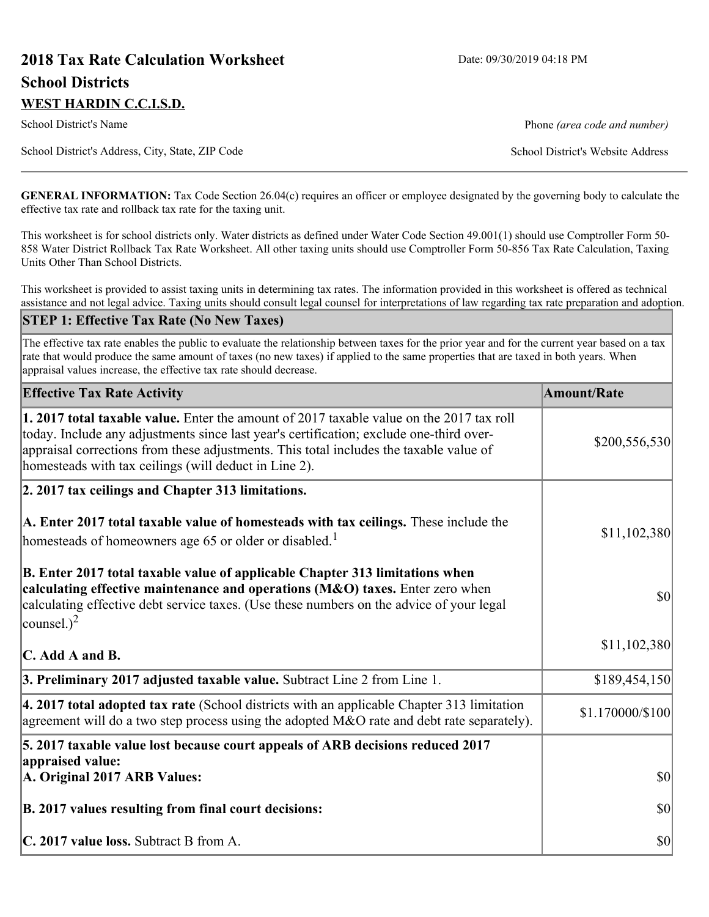# **2018 Tax Rate Calculation Worksheet** Date: 09/30/2019 04:18 PM **School Districts WEST HARDIN C.C.I.S.D.**

School District's Name **Phone** *(area code and number)* Phone *(area code and number)* 

School District's Address, City, State, ZIP Code School District's Website Address

**GENERAL INFORMATION:** Tax Code Section 26.04(c) requires an officer or employee designated by the governing body to calculate the effective tax rate and rollback tax rate for the taxing unit.

This worksheet is for school districts only. Water districts as defined under Water Code Section 49.001(1) should use Comptroller Form 50- 858 Water District Rollback Tax Rate Worksheet. All other taxing units should use Comptroller Form 50-856 Tax Rate Calculation, Taxing Units Other Than School Districts.

This worksheet is provided to assist taxing units in determining tax rates. The information provided in this worksheet is offered as technical assistance and not legal advice. Taxing units should consult legal counsel for interpretations of law regarding tax rate preparation and adoption.

#### **STEP 1: Effective Tax Rate (No New Taxes)**

The effective tax rate enables the public to evaluate the relationship between taxes for the prior year and for the current year based on a tax rate that would produce the same amount of taxes (no new taxes) if applied to the same properties that are taxed in both years. When appraisal values increase, the effective tax rate should decrease.

| <b>Effective Tax Rate Activity</b>                                                                                                                                                                                                                                                                                                     | <b>Amount/Rate</b> |
|----------------------------------------------------------------------------------------------------------------------------------------------------------------------------------------------------------------------------------------------------------------------------------------------------------------------------------------|--------------------|
| 1. 2017 total taxable value. Enter the amount of 2017 taxable value on the 2017 tax roll<br>today. Include any adjustments since last year's certification; exclude one-third over-<br>appraisal corrections from these adjustments. This total includes the taxable value of<br>homesteads with tax ceilings (will deduct in Line 2). | \$200,556,530      |
| 2. 2017 tax ceilings and Chapter 313 limitations.                                                                                                                                                                                                                                                                                      |                    |
| A. Enter 2017 total taxable value of homesteads with tax ceilings. These include the<br>homesteads of homeowners age 65 or older or disabled. <sup>1</sup>                                                                                                                                                                             | \$11,102,380       |
| B. Enter 2017 total taxable value of applicable Chapter 313 limitations when<br>calculating effective maintenance and operations (M&O) taxes. Enter zero when<br>calculating effective debt service taxes. (Use these numbers on the advice of your legal<br>counsel.) <sup>2</sup>                                                    | $ 10\rangle$       |
| C. Add A and B.                                                                                                                                                                                                                                                                                                                        | \$11,102,380       |
| 3. Preliminary 2017 adjusted taxable value. Subtract Line 2 from Line 1.                                                                                                                                                                                                                                                               | \$189,454,150      |
| $\vert$ 4. 2017 total adopted tax rate (School districts with an applicable Chapter 313 limitation<br>agreement will do a two step process using the adopted $M&O$ rate and debt rate separately).                                                                                                                                     | \$1.170000/\$100   |
| 5. 2017 taxable value lost because court appeals of ARB decisions reduced 2017                                                                                                                                                                                                                                                         |                    |
| appraised value:<br>A. Original 2017 ARB Values:                                                                                                                                                                                                                                                                                       | $ 10\rangle$       |
| B. 2017 values resulting from final court decisions:                                                                                                                                                                                                                                                                                   | $ 10\rangle$       |
| C. 2017 value loss. Subtract B from A.                                                                                                                                                                                                                                                                                                 | $ 10\rangle$       |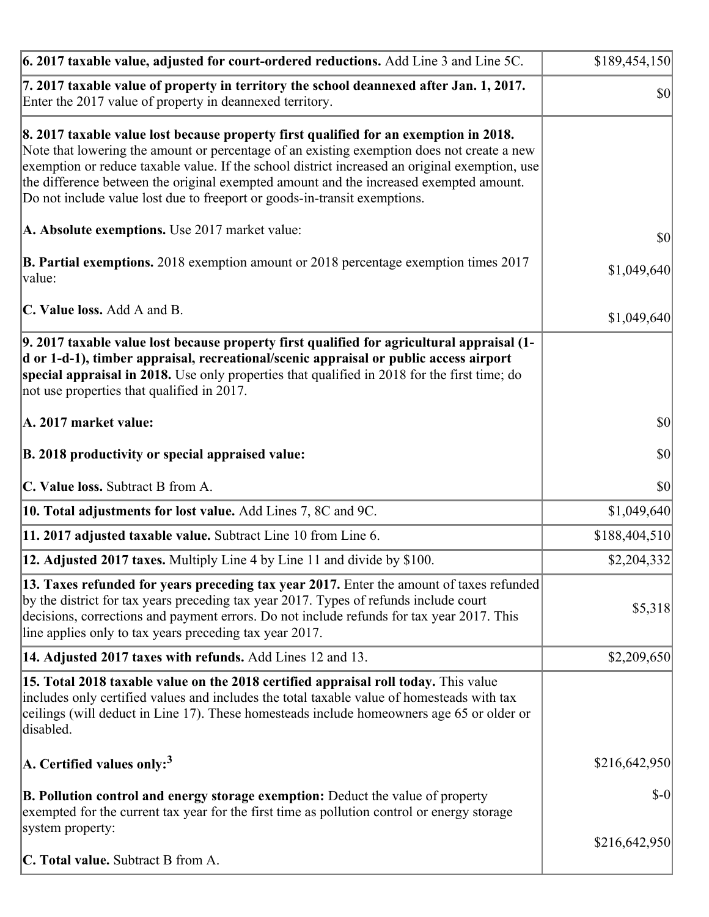| 6. 2017 taxable value, adjusted for court-ordered reductions. Add Line 3 and Line 5C.                                                                                                                                                                                                                                                                                                                                                                        | \$189,454,150 |
|--------------------------------------------------------------------------------------------------------------------------------------------------------------------------------------------------------------------------------------------------------------------------------------------------------------------------------------------------------------------------------------------------------------------------------------------------------------|---------------|
| 7. 2017 taxable value of property in territory the school deannexed after Jan. 1, 2017.<br>Enter the 2017 value of property in deannexed territory.                                                                                                                                                                                                                                                                                                          | $ 10\rangle$  |
| 8. 2017 taxable value lost because property first qualified for an exemption in 2018.<br>Note that lowering the amount or percentage of an existing exemption does not create a new<br>exemption or reduce taxable value. If the school district increased an original exemption, use<br>the difference between the original exempted amount and the increased exempted amount.<br>Do not include value lost due to freeport or goods-in-transit exemptions. |               |
| A. Absolute exemptions. Use 2017 market value:                                                                                                                                                                                                                                                                                                                                                                                                               | $ 10\rangle$  |
| <b>B. Partial exemptions.</b> 2018 exemption amount or 2018 percentage exemption times 2017<br>$\vert$ value:                                                                                                                                                                                                                                                                                                                                                | \$1,049,640   |
| C. Value loss. Add A and B.                                                                                                                                                                                                                                                                                                                                                                                                                                  | \$1,049,640   |
| 9. 2017 taxable value lost because property first qualified for agricultural appraisal (1-<br>d or 1-d-1), timber appraisal, recreational/scenic appraisal or public access airport<br>special appraisal in 2018. Use only properties that qualified in 2018 for the first time; do<br>not use properties that qualified in 2017.                                                                                                                            |               |
| A. 2017 market value:                                                                                                                                                                                                                                                                                                                                                                                                                                        | $ 10\rangle$  |
| B. 2018 productivity or special appraised value:                                                                                                                                                                                                                                                                                                                                                                                                             | \$0           |
| C. Value loss. Subtract B from A.                                                                                                                                                                                                                                                                                                                                                                                                                            | \$0           |
| 10. Total adjustments for lost value. Add Lines 7, 8C and 9C.                                                                                                                                                                                                                                                                                                                                                                                                | \$1,049,640   |
| 11. 2017 adjusted taxable value. Subtract Line 10 from Line 6.                                                                                                                                                                                                                                                                                                                                                                                               | \$188,404,510 |
| <b>12. Adjusted 2017 taxes.</b> Multiply Line 4 by Line 11 and divide by \$100.                                                                                                                                                                                                                                                                                                                                                                              | \$2,204,332   |
| [13. Taxes refunded for years preceding tax year 2017. Enter the amount of taxes refunded]<br>by the district for tax years preceding tax year 2017. Types of refunds include court<br>decisions, corrections and payment errors. Do not include refunds for tax year 2017. This<br>line applies only to tax years preceding tax year 2017.                                                                                                                  | \$5,318       |
| 14. Adjusted 2017 taxes with refunds. Add Lines 12 and 13.                                                                                                                                                                                                                                                                                                                                                                                                   | \$2,209,650   |
| <b>15. Total 2018 taxable value on the 2018 certified appraisal roll today.</b> This value<br>includes only certified values and includes the total taxable value of homesteads with tax<br>ceilings (will deduct in Line 17). These homesteads include homeowners age 65 or older or<br>disabled.                                                                                                                                                           |               |
| A. Certified values only: <sup>3</sup>                                                                                                                                                                                                                                                                                                                                                                                                                       | \$216,642,950 |
| <b>B. Pollution control and energy storage exemption:</b> Deduct the value of property<br>exempted for the current tax year for the first time as pollution control or energy storage<br>system property:                                                                                                                                                                                                                                                    | $S-0$         |
| <b>C. Total value.</b> Subtract B from A.                                                                                                                                                                                                                                                                                                                                                                                                                    | \$216,642,950 |
|                                                                                                                                                                                                                                                                                                                                                                                                                                                              |               |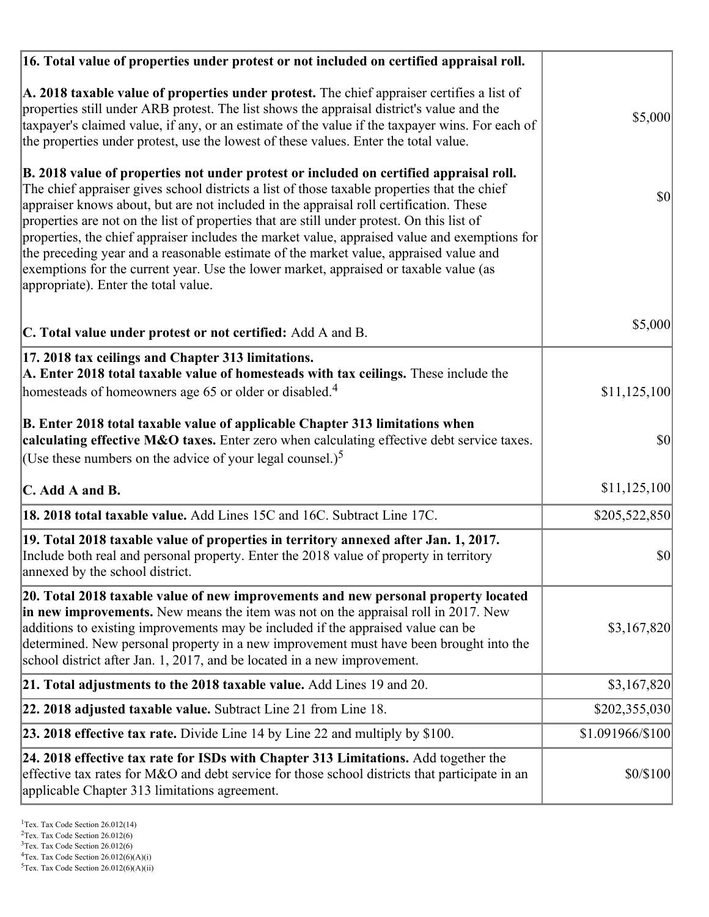| 16. Total value of properties under protest or not included on certified appraisal roll.                                                                                                                                                                                                                                                                                                                                                                                                                                                                                                                                                                                                                  |                  |
|-----------------------------------------------------------------------------------------------------------------------------------------------------------------------------------------------------------------------------------------------------------------------------------------------------------------------------------------------------------------------------------------------------------------------------------------------------------------------------------------------------------------------------------------------------------------------------------------------------------------------------------------------------------------------------------------------------------|------------------|
| A. 2018 taxable value of properties under protest. The chief appraiser certifies a list of<br>properties still under ARB protest. The list shows the appraisal district's value and the<br>taxpayer's claimed value, if any, or an estimate of the value if the taxpayer wins. For each of<br>the properties under protest, use the lowest of these values. Enter the total value.                                                                                                                                                                                                                                                                                                                        | \$5,000          |
| B. 2018 value of properties not under protest or included on certified appraisal roll.<br>The chief appraiser gives school districts a list of those taxable properties that the chief<br>appraiser knows about, but are not included in the appraisal roll certification. These<br>properties are not on the list of properties that are still under protest. On this list of<br>properties, the chief appraiser includes the market value, appraised value and exemptions for<br>the preceding year and a reasonable estimate of the market value, appraised value and<br>exemptions for the current year. Use the lower market, appraised or taxable value (as<br>appropriate). Enter the total value. | 30               |
| C. Total value under protest or not certified: Add A and B.                                                                                                                                                                                                                                                                                                                                                                                                                                                                                                                                                                                                                                               | \$5,000          |
| 17. 2018 tax ceilings and Chapter 313 limitations.<br>A. Enter 2018 total taxable value of homesteads with tax ceilings. These include the                                                                                                                                                                                                                                                                                                                                                                                                                                                                                                                                                                |                  |
| homesteads of homeowners age 65 or older or disabled. <sup>4</sup>                                                                                                                                                                                                                                                                                                                                                                                                                                                                                                                                                                                                                                        | \$11,125,100     |
| B. Enter 2018 total taxable value of applicable Chapter 313 limitations when<br>calculating effective M&O taxes. Enter zero when calculating effective debt service taxes.<br>(Use these numbers on the advice of your legal counsel.) <sup>5</sup>                                                                                                                                                                                                                                                                                                                                                                                                                                                       | \$0              |
| C. Add A and B.                                                                                                                                                                                                                                                                                                                                                                                                                                                                                                                                                                                                                                                                                           | \$11,125,100     |
| 18. 2018 total taxable value. Add Lines 15C and 16C. Subtract Line 17C.                                                                                                                                                                                                                                                                                                                                                                                                                                                                                                                                                                                                                                   | \$205,522,850    |
| 19. Total 2018 taxable value of properties in territory annexed after Jan. 1, 2017.<br>Include both real and personal property. Enter the 2018 value of property in territory<br>annexed by the school district.                                                                                                                                                                                                                                                                                                                                                                                                                                                                                          | \$0              |
| 20. Total 2018 taxable value of new improvements and new personal property located<br>in new improvements. New means the item was not on the appraisal roll in 2017. New<br>additions to existing improvements may be included if the appraised value can be<br>determined. New personal property in a new improvement must have been brought into the<br>school district after Jan. 1, 2017, and be located in a new improvement.                                                                                                                                                                                                                                                                        | \$3,167,820      |
| 21. Total adjustments to the 2018 taxable value. Add Lines 19 and 20.                                                                                                                                                                                                                                                                                                                                                                                                                                                                                                                                                                                                                                     | \$3,167,820      |
| <b>22. 2018 adjusted taxable value.</b> Subtract Line 21 from Line 18.                                                                                                                                                                                                                                                                                                                                                                                                                                                                                                                                                                                                                                    | \$202,355,030    |
| 23. 2018 effective tax rate. Divide Line 14 by Line 22 and multiply by \$100.                                                                                                                                                                                                                                                                                                                                                                                                                                                                                                                                                                                                                             | \$1.091966/\$100 |
| 24. 2018 effective tax rate for ISDs with Chapter 313 Limitations. Add together the<br>effective tax rates for M&O and debt service for those school districts that participate in an<br>applicable Chapter 313 limitations agreement.                                                                                                                                                                                                                                                                                                                                                                                                                                                                    | \$0/\$100        |

<sup>&</sup>lt;sup>1</sup>Tex. Tax Code Section 26.012(14)

 $2$ Tex. Tax Code Section 26.012(6)

<sup>&</sup>lt;sup>3</sup>Tex. Tax Code Section 26.012(6)

 ${}^{4}$ Tex. Tax Code Section 26.012(6)(A)(i)

 $5$ Tex. Tax Code Section 26.012(6)(A)(ii)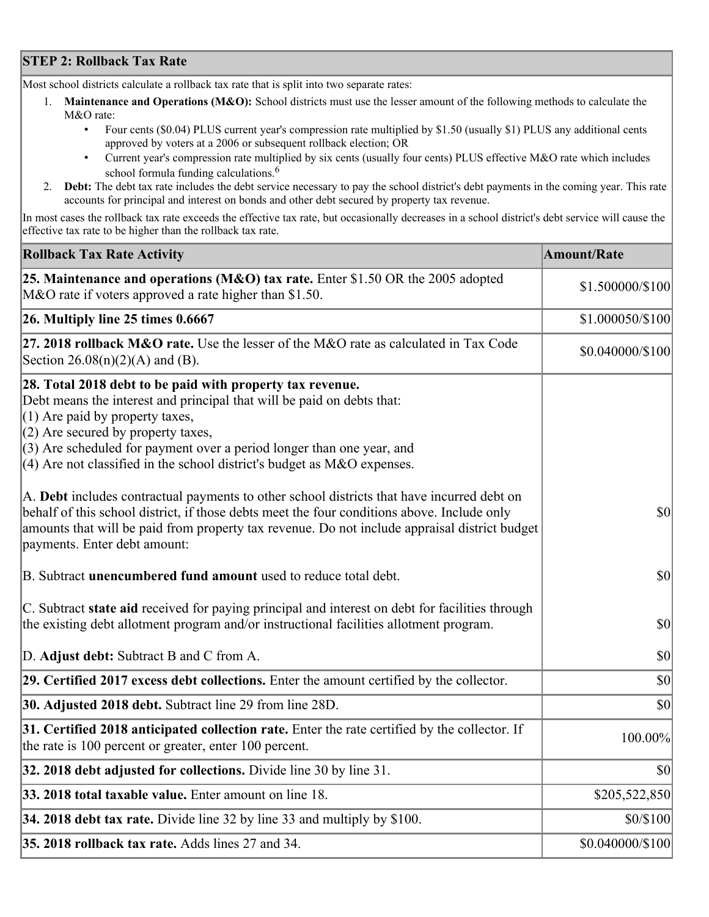## **STEP 2: Rollback Tax Rate**

Most school districts calculate a rollback tax rate that is split into two separate rates:

- 1. **Maintenance and Operations (M&O):** School districts must use the lesser amount of the following methods to calculate the M&O rate:
	- Four cents (\$0.04) PLUS current year's compression rate multiplied by \$1.50 (usually \$1) PLUS any additional cents approved by voters at a 2006 or subsequent rollback election; OR
	- Current year's compression rate multiplied by six cents (usually four cents) PLUS effective M&O rate which includes school formula funding calculations.<sup>6</sup>
- 2. **Debt:** The debt tax rate includes the debt service necessary to pay the school district's debt payments in the coming year. This rate accounts for principal and interest on bonds and other debt secured by property tax revenue.

In most cases the rollback tax rate exceeds the effective tax rate, but occasionally decreases in a school district's debt service will cause the effective tax rate to be higher than the rollback tax rate.

| <b>Rollback Tax Rate Activity</b>                                                                                                                                                                                                                                                                                                                                        | <b>Amount/Rate</b> |
|--------------------------------------------------------------------------------------------------------------------------------------------------------------------------------------------------------------------------------------------------------------------------------------------------------------------------------------------------------------------------|--------------------|
| 25. Maintenance and operations (M&O) tax rate. Enter \$1.50 OR the 2005 adopted<br>M&O rate if voters approved a rate higher than \$1.50.                                                                                                                                                                                                                                | \$1.500000/\$100   |
| $26.$ Multiply line 25 times $0.6667$                                                                                                                                                                                                                                                                                                                                    | \$1.000050/\$100   |
| 27. 2018 rollback $M&O$ rate. Use the lesser of the M $&O$ rate as calculated in Tax Code<br>Section 26.08(n)(2)(A) and (B).                                                                                                                                                                                                                                             | \$0.040000/\$100   |
| 28. Total 2018 debt to be paid with property tax revenue.<br>Debt means the interest and principal that will be paid on debts that:<br>$(1)$ Are paid by property taxes,<br>$(2)$ Are secured by property taxes,<br>$(3)$ Are scheduled for payment over a period longer than one year, and<br>$(4)$ Are not classified in the school district's budget as M&O expenses. |                    |
| A. Debt includes contractual payments to other school districts that have incurred debt on<br>behalf of this school district, if those debts meet the four conditions above. Include only<br>amounts that will be paid from property tax revenue. Do not include appraisal district budget<br>payments. Enter debt amount:                                               | $ 10\rangle$       |
| B. Subtract unencumbered fund amount used to reduce total debt.                                                                                                                                                                                                                                                                                                          | \$0                |
| C. Subtract state aid received for paying principal and interest on debt for facilities through<br>the existing debt allotment program and/or instructional facilities allotment program.                                                                                                                                                                                | $ 10\rangle$       |
| D. Adjust debt: Subtract B and C from A.                                                                                                                                                                                                                                                                                                                                 | $ 10\rangle$       |
| 29. Certified 2017 excess debt collections. Enter the amount certified by the collector.                                                                                                                                                                                                                                                                                 | $ 10\rangle$       |
| <b>30. Adjusted 2018 debt.</b> Subtract line 29 from line 28D.                                                                                                                                                                                                                                                                                                           | \$0                |
| 31. Certified 2018 anticipated collection rate. Enter the rate certified by the collector. If<br>the rate is 100 percent or greater, enter 100 percent.                                                                                                                                                                                                                  | 100.00%            |
| 32. 2018 debt adjusted for collections. Divide line 30 by line 31.                                                                                                                                                                                                                                                                                                       | $ 10\rangle$       |
| 33. 2018 total taxable value. Enter amount on line 18.                                                                                                                                                                                                                                                                                                                   | \$205,522,850      |
| 34. 2018 debt tax rate. Divide line 32 by line 33 and multiply by \$100.                                                                                                                                                                                                                                                                                                 | \$0/\$100          |
| 35. 2018 rollback tax rate. Adds lines 27 and 34.                                                                                                                                                                                                                                                                                                                        | \$0.040000/\$100   |